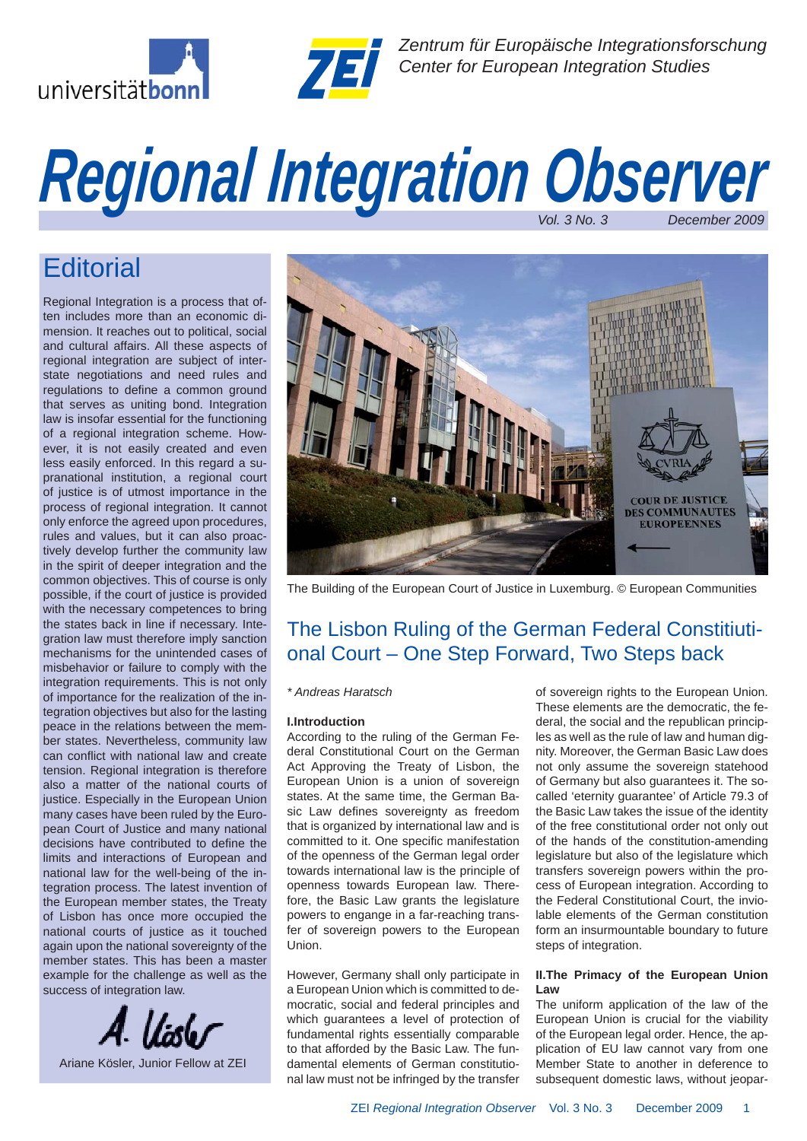



*Zentrum für Europäische Integrationsforschung Center for European Integration Studies*

# **Regional Integration Observer**

## **Editorial**

Regional Integration is a process that often includes more than an economic dimension. It reaches out to political, social and cultural affairs. All these aspects of regional integration are subject of interstate negotiations and need rules and regulations to define a common ground that serves as uniting bond. Integration law is insofar essential for the functioning of a regional integration scheme. However, it is not easily created and even less easily enforced. In this regard a supranational institution, a regional court of justice is of utmost importance in the process of regional integration. It cannot only enforce the agreed upon procedures, rules and values, but it can also proactively develop further the community law in the spirit of deeper integration and the common objectives. This of course is only possible, if the court of justice is provided with the necessary competences to bring the states back in line if necessary. Integration law must therefore imply sanction mechanisms for the unintended cases of misbehavior or failure to comply with the integration requirements. This is not only of importance for the realization of the integration objectives but also for the lasting peace in the relations between the member states. Nevertheless, community law can conflict with national law and create tension. Regional integration is therefore also a matter of the national courts of justice. Especially in the European Union many cases have been ruled by the European Court of Justice and many national decisions have contributed to define the limits and interactions of European and national law for the well-being of the integration process. The latest invention of the European member states, the Treaty of Lisbon has once more occupied the national courts of justice as it touched again upon the national sovereignty of the member states. This has been a master example for the challenge as well as the success of integration law.





The Building of the European Court of Justice in Luxemburg. © European Communities

## The Lisbon Ruling of the German Federal Constitiutional Court – One Step Forward, Two Steps back

#### *\* Andreas Haratsch*

#### **I.Introduction**

According to the ruling of the German Federal Constitutional Court on the German Act Approving the Treaty of Lisbon, the European Union is a union of sovereign states. At the same time, the German Basic Law defines sovereignty as freedom that is organized by international law and is committed to it. One specific manifestation of the openness of the German legal order towards international law is the principle of openness towards European law. Therefore, the Basic Law grants the legislature powers to engange in a far-reaching transfer of sovereign powers to the European Union.

However, Germany shall only participate in a European Union which is committed to democratic, social and federal principles and which guarantees a level of protection of fundamental rights essentially comparable to that afforded by the Basic Law. The fundamental elements of German constitutional law must not be infringed by the transfer of sovereign rights to the European Union. These elements are the democratic, the federal, the social and the republican principles as well as the rule of law and human dignity. Moreover, the German Basic Law does not only assume the sovereign statehood of Germany but also guarantees it. The socalled 'eternity guarantee' of Article 79.3 of the Basic Law takes the issue of the identity of the free constitutional order not only out of the hands of the constitution-amending legislature but also of the legislature which transfers sovereign powers within the process of European integration. According to the Federal Constitutional Court, the inviolable elements of the German constitution form an insurmountable boundary to future steps of integration.

#### **II.The Primacy of the European Union Law**

The uniform application of the law of the European Union is crucial for the viability of the European legal order. Hence, the application of EU law cannot vary from one Member State to another in deference to subsequent domestic laws, without jeopar-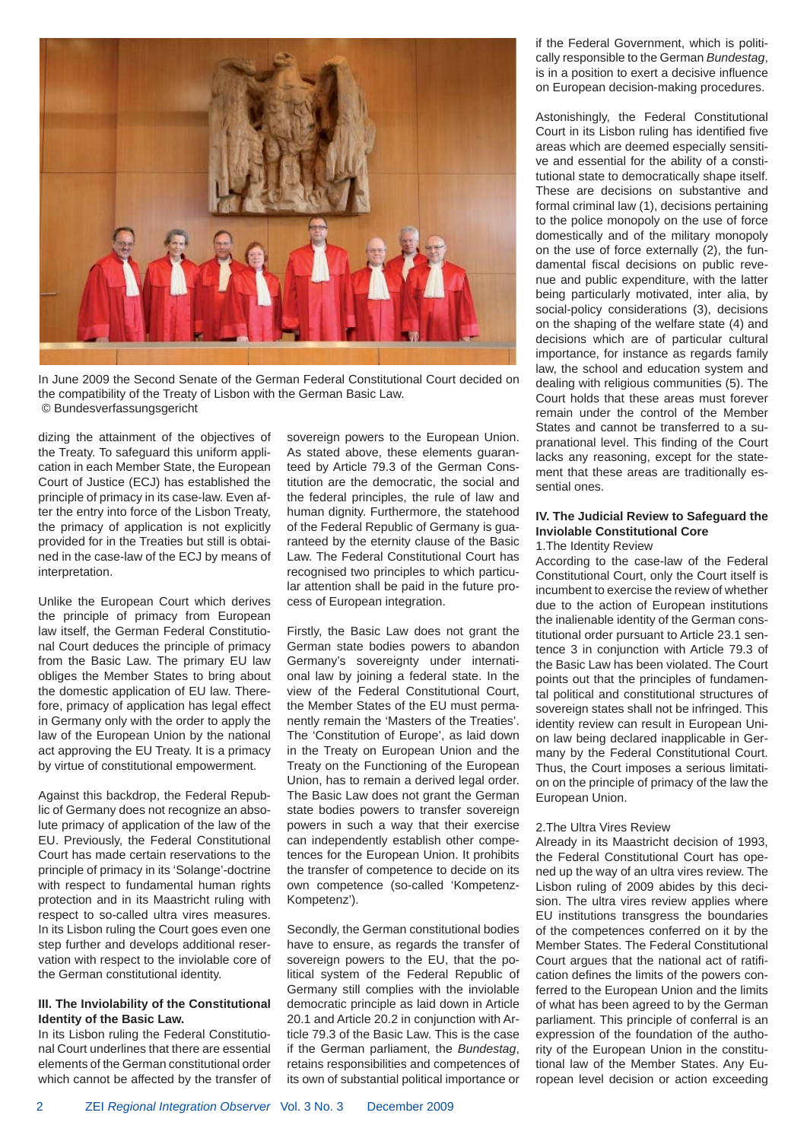

In June 2009 the Second Senate of the German Federal Constitutional Court decided on the compatibility of the Treaty of Lisbon with the German Basic Law. © Bundesverfassungsgericht

dizing the attainment of the objectives of the Treaty. To safeguard this uniform application in each Member State, the European Court of Justice (ECJ) has established the principle of primacy in its case-law. Even after the entry into force of the Lisbon Treaty, the primacy of application is not explicitly provided for in the Treaties but still is obtained in the case-law of the ECJ by means of interpretation.

Unlike the European Court which derives the principle of primacy from European law itself, the German Federal Constitutional Court deduces the principle of primacy from the Basic Law. The primary EU law obliges the Member States to bring about the domestic application of EU law. Therefore, primacy of application has legal effect in Germany only with the order to apply the law of the European Union by the national act approving the EU Treaty. It is a primacy by virtue of constitutional empowerment.

Against this backdrop, the Federal Republic of Germany does not recognize an absolute primacy of application of the law of the EU. Previously, the Federal Constitutional Court has made certain reservations to the principle of primacy in its 'Solange'-doctrine with respect to fundamental human rights protection and in its Maastricht ruling with respect to so-called ultra vires measures. In its Lisbon ruling the Court goes even one step further and develops additional reservation with respect to the inviolable core of the German constitutional identity.

#### **III. The Inviolability of the Constitutional Identity of the Basic Law.**

In its Lisbon ruling the Federal Constitutional Court underlines that there are essential elements of the German constitutional order which cannot be affected by the transfer of sovereign powers to the European Union. As stated above, these elements guaranteed by Article 79.3 of the German Constitution are the democratic, the social and the federal principles, the rule of law and human dignity. Furthermore, the statehood of the Federal Republic of Germany is guaranteed by the eternity clause of the Basic Law. The Federal Constitutional Court has recognised two principles to which particular attention shall be paid in the future process of European integration.

Firstly, the Basic Law does not grant the German state bodies powers to abandon Germany's sovereignty under international law by joining a federal state. In the view of the Federal Constitutional Court, the Member States of the EU must permanently remain the 'Masters of the Treaties'. The 'Constitution of Europe', as laid down in the Treaty on European Union and the Treaty on the Functioning of the European Union, has to remain a derived legal order. The Basic Law does not grant the German state bodies powers to transfer sovereign powers in such a way that their exercise can independently establish other competences for the European Union. It prohibits the transfer of competence to decide on its own competence (so-called 'Kompetenz-Kompetenz').

Secondly, the German constitutional bodies have to ensure, as regards the transfer of sovereign powers to the EU, that the political system of the Federal Republic of Germany still complies with the inviolable democratic principle as laid down in Article 20.1 and Article 20.2 in conjunction with Article 79.3 of the Basic Law. This is the case if the German parliament, the *Bundestag*, retains responsibilities and competences of its own of substantial political importance or if the Federal Government, which is politically responsible to the German *Bundestag*, is in a position to exert a decisive influence on European decision-making procedures.

Astonishingly, the Federal Constitutional Court in its Lisbon ruling has identified five areas which are deemed especially sensitive and essential for the ability of a constitutional state to democratically shape itself. These are decisions on substantive and formal criminal law (1), decisions pertaining to the police monopoly on the use of force domestically and of the military monopoly on the use of force externally (2), the fundamental fiscal decisions on public revenue and public expenditure, with the latter being particularly motivated, inter alia, by social-policy considerations (3), decisions on the shaping of the welfare state (4) and decisions which are of particular cultural importance, for instance as regards family law, the school and education system and dealing with religious communities (5). The Court holds that these areas must forever remain under the control of the Member States and cannot be transferred to a supranational level. This finding of the Court lacks any reasoning, except for the statement that these areas are traditionally essential ones.

#### **IV. The Judicial Review to Safeguard the Inviolable Constitutional Core**

1.The Identity Review

According to the case-law of the Federal Constitutional Court, only the Court itself is incumbent to exercise the review of whether due to the action of European institutions the inalienable identity of the German constitutional order pursuant to Article 23.1 sentence 3 in conjunction with Article 79.3 of the Basic Law has been violated. The Court points out that the principles of fundamental political and constitutional structures of sovereign states shall not be infringed. This identity review can result in European Union law being declared inapplicable in Germany by the Federal Constitutional Court. Thus, the Court imposes a serious limitation on the principle of primacy of the law the European Union.

#### 2.The Ultra Vires Review

Already in its Maastricht decision of 1993, the Federal Constitutional Court has opened up the way of an ultra vires review. The Lisbon ruling of 2009 abides by this decision. The ultra vires review applies where EU institutions transgress the boundaries of the competences conferred on it by the Member States. The Federal Constitutional Court argues that the national act of ratification defines the limits of the powers conferred to the European Union and the limits of what has been agreed to by the German parliament. This principle of conferral is an expression of the foundation of the authority of the European Union in the constitutional law of the Member States. Any European level decision or action exceeding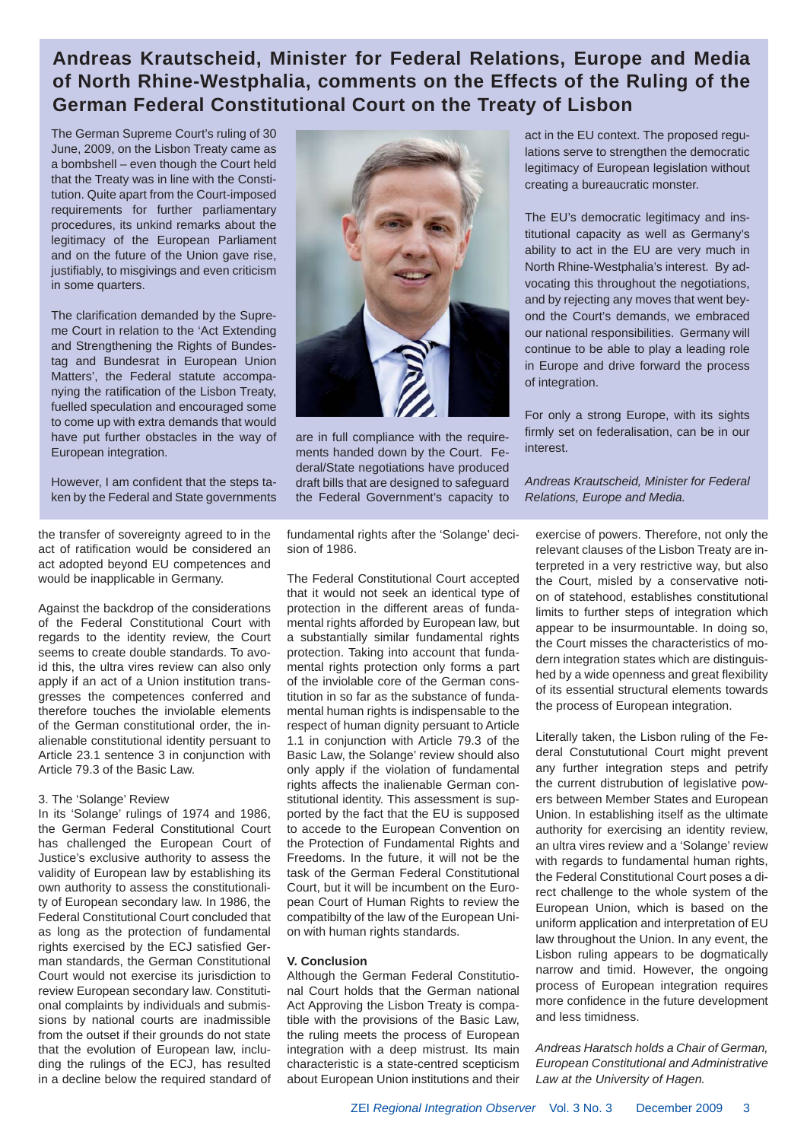## **Andreas Krautscheid, Minister for Federal Relations, Europe and Media of North Rhine-Westphalia, comments on the Effects of the Ruling of the German Federal Constitutional Court on the Treaty of Lisbon**

The German Supreme Court's ruling of 30 June, 2009, on the Lisbon Treaty came as a bombshell – even though the Court held that the Treaty was in line with the Constitution. Quite apart from the Court-imposed requirements for further parliamentary procedures, its unkind remarks about the legitimacy of the European Parliament and on the future of the Union gave rise, justifiably, to misgivings and even criticism in some quarters.

The clarification demanded by the Supreme Court in relation to the 'Act Extending and Strengthening the Rights of Bundestag and Bundesrat in European Union Matters', the Federal statute accompanying the ratification of the Lisbon Treaty, fuelled speculation and encouraged some to come up with extra demands that would have put further obstacles in the way of European integration.

However, I am confident that the steps taken by the Federal and State governments

the transfer of sovereignty agreed to in the act of ratification would be considered an act adopted beyond EU competences and would be inapplicable in Germany.

Against the backdrop of the considerations of the Federal Constitutional Court with regards to the identity review, the Court seems to create double standards. To avoid this, the ultra vires review can also only apply if an act of a Union institution transgresses the competences conferred and therefore touches the inviolable elements of the German constitutional order, the inalienable constitutional identity persuant to Article 23.1 sentence 3 in conjunction with Article 79.3 of the Basic Law.

#### 3. The 'Solange' Review

In its 'Solange' rulings of 1974 and 1986, the German Federal Constitutional Court has challenged the European Court of Justice's exclusive authority to assess the validity of European law by establishing its own authority to assess the constitutionality of European secondary law. In 1986, the Federal Constitutional Court concluded that as long as the protection of fundamental rights exercised by the ECJ satisfied German standards, the German Constitutional Court would not exercise its jurisdiction to review European secondary law. Constitutional complaints by individuals and submissions by national courts are inadmissible from the outset if their grounds do not state that the evolution of European law, including the rulings of the ECJ, has resulted in a decline below the required standard of



are in full compliance with the requirements handed down by the Court. Federal/State negotiations have produced draft bills that are designed to safeguard the Federal Government's capacity to

fundamental rights after the 'Solange' decision of 1986.

The Federal Constitutional Court accepted that it would not seek an identical type of protection in the different areas of fundamental rights afforded by European law, but a substantially similar fundamental rights protection. Taking into account that fundamental rights protection only forms a part of the inviolable core of the German constitution in so far as the substance of fundamental human rights is indispensable to the respect of human dignity persuant to Article 1.1 in conjunction with Article 79.3 of the Basic Law, the Solange' review should also only apply if the violation of fundamental rights affects the inalienable German constitutional identity. This assessment is supported by the fact that the EU is supposed to accede to the European Convention on the Protection of Fundamental Rights and Freedoms. In the future, it will not be the task of the German Federal Constitutional Court, but it will be incumbent on the European Court of Human Rights to review the compatibilty of the law of the European Union with human rights standards.

#### **V. Conclusion**

Although the German Federal Constitutional Court holds that the German national Act Approving the Lisbon Treaty is compatible with the provisions of the Basic Law, the ruling meets the process of European integration with a deep mistrust. Its main characteristic is a state-centred scepticism about European Union institutions and their

act in the EU context. The proposed regulations serve to strengthen the democratic legitimacy of European legislation without creating a bureaucratic monster.

The EU's democratic legitimacy and institutional capacity as well as Germany's ability to act in the EU are very much in North Rhine-Westphalia's interest. By advocating this throughout the negotiations, and by rejecting any moves that went beyond the Court's demands, we embraced our national responsibilities. Germany will continue to be able to play a leading role in Europe and drive forward the process of integration.

For only a strong Europe, with its sights firmly set on federalisation, can be in our interest.

*Andreas Krautscheid, Minister for Federal Relations, Europe and Media.*

exercise of powers. Therefore, not only the relevant clauses of the Lisbon Treaty are interpreted in a very restrictive way, but also the Court, misled by a conservative notion of statehood, establishes constitutional limits to further steps of integration which appear to be insurmountable. In doing so, the Court misses the characteristics of modern integration states which are distinguished by a wide openness and great flexibility of its essential structural elements towards the process of European integration.

Literally taken, the Lisbon ruling of the Federal Constututional Court might prevent any further integration steps and petrify the current distrubution of legislative powers between Member States and European Union. In establishing itself as the ultimate authority for exercising an identity review, an ultra vires review and a 'Solange' review with regards to fundamental human rights, the Federal Constitutional Court poses a direct challenge to the whole system of the European Union, which is based on the uniform application and interpretation of EU law throughout the Union. In any event, the Lisbon ruling appears to be dogmatically narrow and timid. However, the ongoing process of European integration requires more confidence in the future development and less timidness.

*Andreas Haratsch holds a Chair of German, European Constitutional and Administrative Law at the University of Hagen.*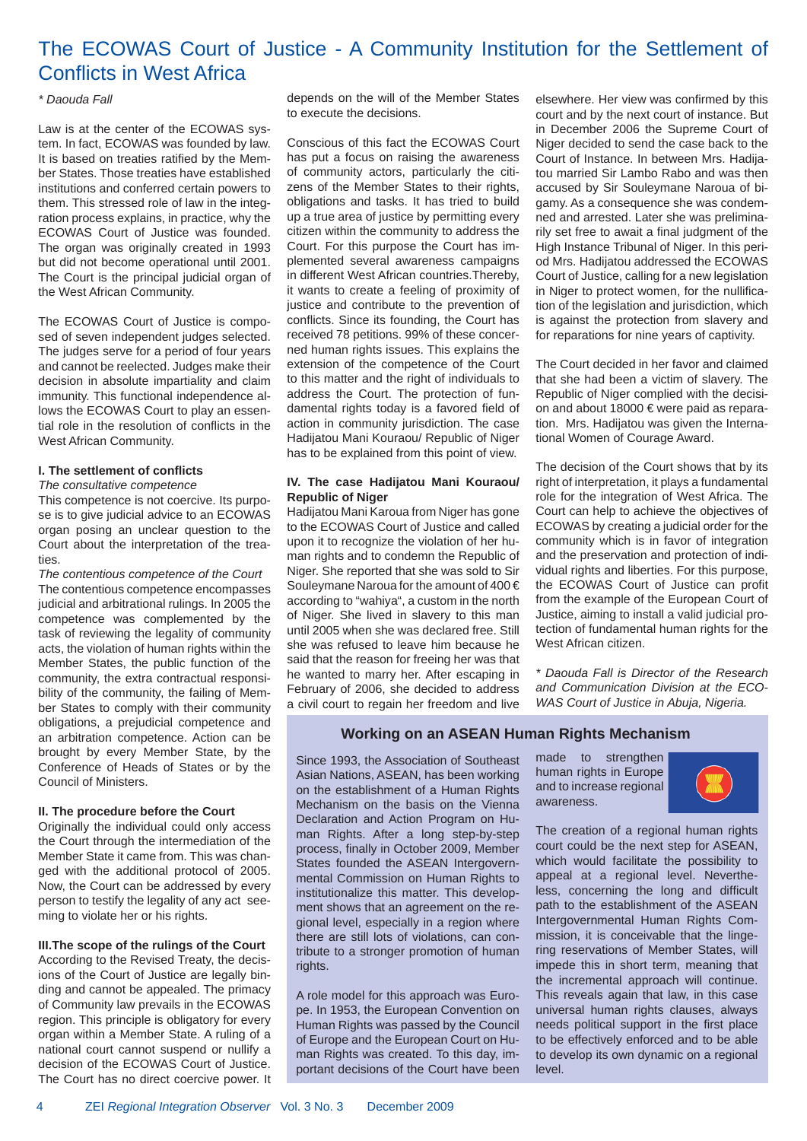## The ECOWAS Court of Justice - A Community Institution for the Settlement of **Conflicts in West Africa**

#### *\* Daouda Fall*

Law is at the center of the ECOWAS system. In fact, ECOWAS was founded by law. It is based on treaties ratified by the Member States. Those treaties have established institutions and conferred certain powers to them. This stressed role of law in the integration process explains, in practice, why the ECOWAS Court of Justice was founded. The organ was originally created in 1993 but did not become operational until 2001. The Court is the principal judicial organ of the West African Community.

The ECOWAS Court of Justice is composed of seven independent judges selected. The judges serve for a period of four years and cannot be reelected. Judges make their decision in absolute impartiality and claim immunity. This functional independence allows the ECOWAS Court to play an essential role in the resolution of conflicts in the West African Community.

#### **I. The settlement of confl icts**

*The consultative competence*

This competence is not coercive. Its purpose is to give judicial advice to an ECOWAS organ posing an unclear question to the Court about the interpretation of the treaties.

*The contentious competence of the Court* The contentious competence encompasses judicial and arbitrational rulings. In 2005 the competence was complemented by the task of reviewing the legality of community acts, the violation of human rights within the Member States, the public function of the community, the extra contractual responsibility of the community, the failing of Member States to comply with their community obligations, a prejudicial competence and an arbitration competence. Action can be brought by every Member State, by the Conference of Heads of States or by the Council of Ministers.

#### **II. The procedure before the Court**

Originally the individual could only access the Court through the intermediation of the Member State it came from. This was changed with the additional protocol of 2005. Now, the Court can be addressed by every person to testify the legality of any act seeming to violate her or his rights.

#### **III.The scope of the rulings of the Court**

According to the Revised Treaty, the decisions of the Court of Justice are legally binding and cannot be appealed. The primacy of Community law prevails in the ECOWAS region. This principle is obligatory for every organ within a Member State. A ruling of a national court cannot suspend or nullify a decision of the ECOWAS Court of Justice. The Court has no direct coercive power. It depends on the will of the Member States to execute the decisions.

Conscious of this fact the ECOWAS Court has put a focus on raising the awareness of community actors, particularly the citizens of the Member States to their rights, obligations and tasks. It has tried to build up a true area of justice by permitting every citizen within the community to address the Court. For this purpose the Court has implemented several awareness campaigns in different West African countries.Thereby, it wants to create a feeling of proximity of justice and contribute to the prevention of conflicts. Since its founding, the Court has received 78 petitions. 99% of these concerned human rights issues. This explains the extension of the competence of the Court to this matter and the right of individuals to address the Court. The protection of fundamental rights today is a favored field of action in community jurisdiction. The case Hadijatou Mani Kouraou/ Republic of Niger has to be explained from this point of view.

#### **IV. The case Hadijatou Mani Kouraou/ Republic of Niger**

Hadijatou Mani Karoua from Niger has gone to the ECOWAS Court of Justice and called upon it to recognize the violation of her human rights and to condemn the Republic of Niger. She reported that she was sold to Sir Souleymane Naroua for the amount of 400 € according to "wahiya", a custom in the north of Niger. She lived in slavery to this man until 2005 when she was declared free. Still she was refused to leave him because he said that the reason for freeing her was that he wanted to marry her. After escaping in February of 2006, she decided to address a civil court to regain her freedom and live elsewhere. Her view was confirmed by this court and by the next court of instance. But in December 2006 the Supreme Court of Niger decided to send the case back to the Court of Instance. In between Mrs. Hadijatou married Sir Lambo Rabo and was then accused by Sir Souleymane Naroua of bigamy. As a consequence she was condemned and arrested. Later she was preliminarily set free to await a final judgment of the High Instance Tribunal of Niger. In this period Mrs. Hadijatou addressed the ECOWAS Court of Justice, calling for a new legislation in Niger to protect women, for the nullification of the legislation and jurisdiction, which is against the protection from slavery and for reparations for nine years of captivity.

The Court decided in her favor and claimed that she had been a victim of slavery. The Republic of Niger complied with the decision and about 18000 € were paid as reparation. Mrs. Hadijatou was given the International Women of Courage Award.

The decision of the Court shows that by its right of interpretation, it plays a fundamental role for the integration of West Africa. The Court can help to achieve the objectives of ECOWAS by creating a judicial order for the community which is in favor of integration and the preservation and protection of individual rights and liberties. For this purpose, the ECOWAS Court of Justice can profit from the example of the European Court of Justice, aiming to install a valid judicial protection of fundamental human rights for the West African citizen.

*\* Daouda Fall is Director of the Research and Communication Division at the ECO-WAS Court of Justice in Abuja, Nigeria.*

#### **Working on an ASEAN Human Rights Mechanism**

Since 1993, the Association of Southeast Asian Nations, ASEAN, has been working on the establishment of a Human Rights Mechanism on the basis on the Vienna Declaration and Action Program on Human Rights. After a long step-by-step process, finally in October 2009, Member States founded the ASEAN Intergovernmental Commission on Human Rights to institutionalize this matter. This development shows that an agreement on the regional level, especially in a region where there are still lots of violations, can contribute to a stronger promotion of human rights.

A role model for this approach was Europe. In 1953, the European Convention on Human Rights was passed by the Council of Europe and the European Court on Human Rights was created. To this day, important decisions of the Court have been made to strengthen human rights in Europe and to increase regional awareness.



The creation of a regional human rights court could be the next step for ASEAN, which would facilitate the possibility to appeal at a regional level. Nevertheless, concerning the long and difficult path to the establishment of the ASEAN Intergovernmental Human Rights Commission, it is conceivable that the lingering reservations of Member States, will impede this in short term, meaning that the incremental approach will continue. This reveals again that law, in this case universal human rights clauses, always needs political support in the first place to be effectively enforced and to be able to develop its own dynamic on a regional level.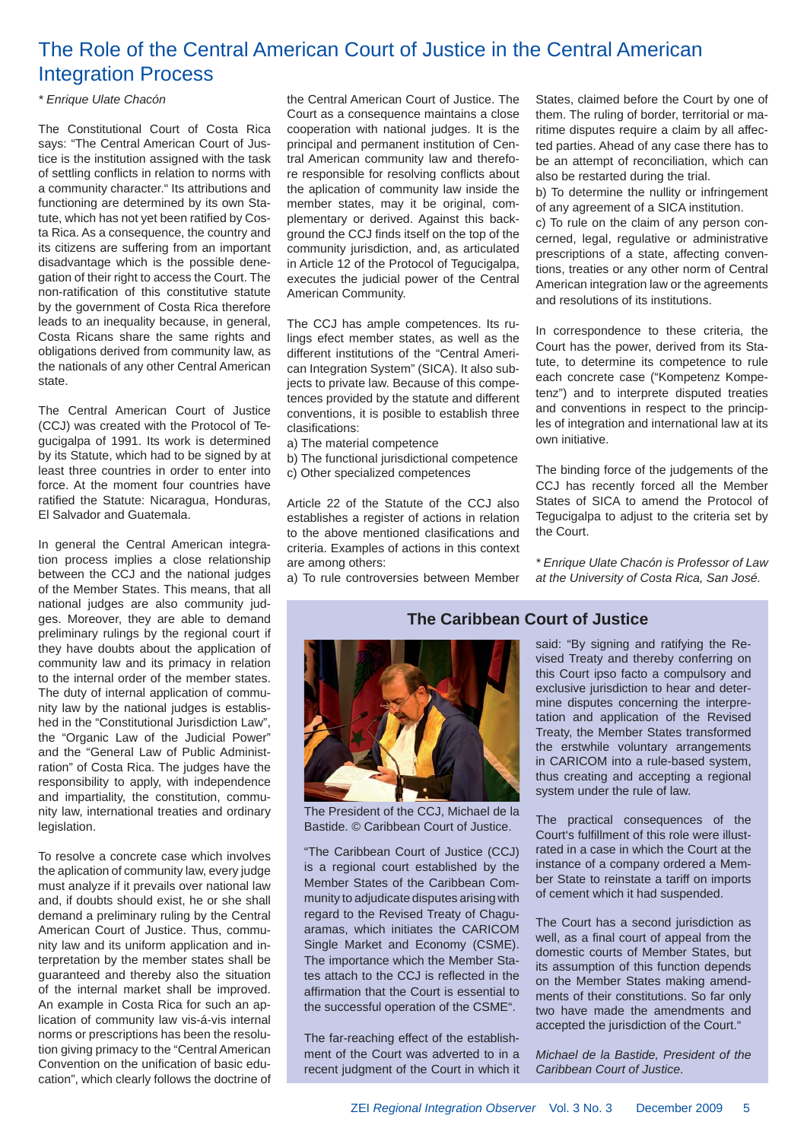## The Role of the Central American Court of Justice in the Central American Integration Process

#### *\* Enrique Ulate Chacón*

The Constitutional Court of Costa Rica says: "The Central American Court of Justice is the institution assigned with the task of settling conflicts in relation to norms with a community character." Its attributions and functioning are determined by its own Statute, which has not yet been ratified by Costa Rica. As a consequence, the country and its citizens are suffering from an important disadvantage which is the possible denegation of their right to access the Court. The non-ratification of this constitutive statute by the government of Costa Rica therefore leads to an inequality because, in general, Costa Ricans share the same rights and obligations derived from community law, as the nationals of any other Central American state.

The Central American Court of Justice (CCJ) was created with the Protocol of Tegucigalpa of 1991. Its work is determined by its Statute, which had to be signed by at least three countries in order to enter into force. At the moment four countries have ratified the Statute: Nicaragua, Honduras, El Salvador and Guatemala.

In general the Central American integration process implies a close relationship between the CCJ and the national judges of the Member States. This means, that all national judges are also community judges. Moreover, they are able to demand preliminary rulings by the regional court if they have doubts about the application of community law and its primacy in relation to the internal order of the member states. The duty of internal application of community law by the national judges is established in the "Constitutional Jurisdiction Law", the "Organic Law of the Judicial Power" and the "General Law of Public Administration" of Costa Rica. The judges have the responsibility to apply, with independence and impartiality, the constitution, community law, international treaties and ordinary legislation.

To resolve a concrete case which involves the aplication of community law, every judge must analyze if it prevails over national law and, if doubts should exist, he or she shall demand a preliminary ruling by the Central American Court of Justice. Thus, community law and its uniform application and interpretation by the member states shall be guaranteed and thereby also the situation of the internal market shall be improved. An example in Costa Rica for such an aplication of community law vis-á-vis internal norms or prescriptions has been the resolution giving primacy to the "Central American Convention on the unification of basic education", which clearly follows the doctrine of the Central American Court of Justice. The Court as a consequence maintains a close cooperation with national judges. It is the principal and permanent institution of Central American community law and therefore responsible for resolving conflicts about the aplication of community law inside the member states, may it be original, complementary or derived. Against this backaround the CCJ finds itself on the top of the community jurisdiction, and, as articulated in Article 12 of the Protocol of Tegucigalpa, executes the judicial power of the Central American Community.

The CCJ has ample competences. Its rulings efect member states, as well as the different institutions of the "Central American Integration System" (SICA). It also subjects to private law. Because of this competences provided by the statute and different conventions, it is posible to establish three clasifications:

- a) The material competence
- b) The functional jurisdictional competence
- c) Other specialized competences

Article 22 of the Statute of the CCJ also establishes a register of actions in relation to the above mentioned clasifications and criteria. Examples of actions in this context are among others:

a) To rule controversies between Member

States, claimed before the Court by one of them. The ruling of border, territorial or maritime disputes require a claim by all affected parties. Ahead of any case there has to be an attempt of reconciliation, which can also be restarted during the trial.

b) To determine the nullity or infringement of any agreement of a SICA institution.

c) To rule on the claim of any person concerned, legal, regulative or administrative prescriptions of a state, affecting conventions, treaties or any other norm of Central American integration law or the agreements and resolutions of its institutions.

In correspondence to these criteria, the Court has the power, derived from its Statute, to determine its competence to rule each concrete case ("Kompetenz Kompetenz") and to interprete disputed treaties and conventions in respect to the principles of integration and international law at its own initiative.

The binding force of the judgements of the CCJ has recently forced all the Member States of SICA to amend the Protocol of Tegucigalpa to adjust to the criteria set by the Court.

*\* Enrique Ulate Chacón is Professor of Law at the University of Costa Rica, San José.*



The President of the CCJ, Michael de la Bastide. © Caribbean Court of Justice.

"The Caribbean Court of Justice (CCJ) is a regional court established by the Member States of the Caribbean Community to adjudicate disputes arising with regard to the Revised Treaty of Chaguaramas, which initiates the CARICOM Single Market and Economy (CSME). The importance which the Member States attach to the CCJ is reflected in the affirmation that the Court is essential to the successful operation of the CSME".

The far-reaching effect of the establishment of the Court was adverted to in a recent judgment of the Court in which it

#### **The Caribbean Court of Justice**

said: "By signing and ratifying the Revised Treaty and thereby conferring on this Court ipso facto a compulsory and exclusive jurisdiction to hear and determine disputes concerning the interpretation and application of the Revised Treaty, the Member States transformed the erstwhile voluntary arrangements in CARICOM into a rule-based system, thus creating and accepting a regional system under the rule of law.

The practical consequences of the Court's fulfillment of this role were illustrated in a case in which the Court at the instance of a company ordered a Member State to reinstate a tariff on imports of cement which it had suspended.

The Court has a second jurisdiction as well, as a final court of appeal from the domestic courts of Member States, but its assumption of this function depends on the Member States making amendments of their constitutions. So far only two have made the amendments and accepted the jurisdiction of the Court."

*Michael de la Bastide, President of the Caribbean Court of Justice*.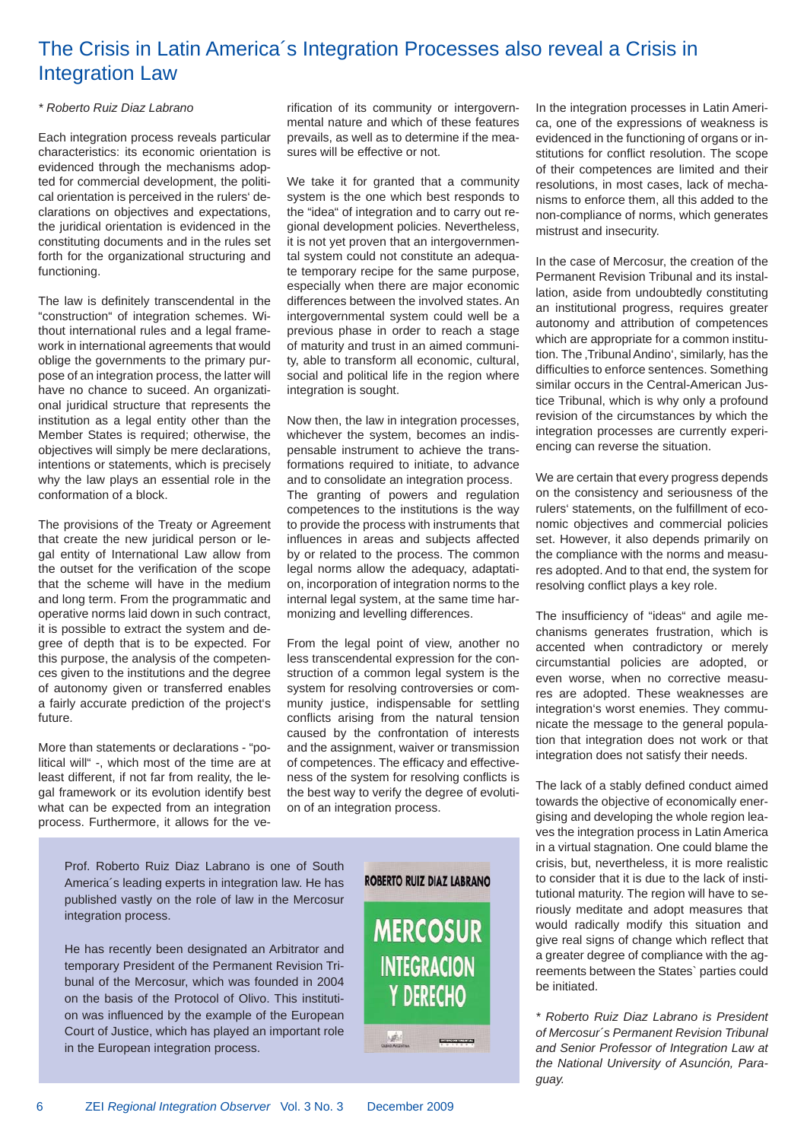## The Crisis in Latin America´s Integration Processes also reveal a Crisis in Integration Law

#### *\* Roberto Ruiz Diaz Labrano*

Each integration process reveals particular characteristics: its economic orientation is evidenced through the mechanisms adopted for commercial development, the political orientation is perceived in the rulers' declarations on objectives and expectations, the juridical orientation is evidenced in the constituting documents and in the rules set forth for the organizational structuring and functioning.

The law is definitely transcendental in the "construction" of integration schemes. Without international rules and a legal framework in international agreements that would oblige the governments to the primary purpose of an integration process, the latter will have no chance to suceed. An organizational juridical structure that represents the institution as a legal entity other than the Member States is required; otherwise, the objectives will simply be mere declarations, intentions or statements, which is precisely why the law plays an essential role in the conformation of a block.

The provisions of the Treaty or Agreement that create the new juridical person or legal entity of International Law allow from the outset for the verification of the scope that the scheme will have in the medium and long term. From the programmatic and operative norms laid down in such contract, it is possible to extract the system and degree of depth that is to be expected. For this purpose, the analysis of the competences given to the institutions and the degree of autonomy given or transferred enables a fairly accurate prediction of the project's future.

More than statements or declarations - "political will" -, which most of the time are at least different, if not far from reality, the legal framework or its evolution identify best what can be expected from an integration process. Furthermore, it allows for the verification of its community or intergovernmental nature and which of these features prevails, as well as to determine if the measures will be effective or not.

We take it for granted that a community system is the one which best responds to the "idea" of integration and to carry out regional development policies. Nevertheless, it is not yet proven that an intergovernmental system could not constitute an adequate temporary recipe for the same purpose, especially when there are major economic differences between the involved states. An intergovernmental system could well be a previous phase in order to reach a stage of maturity and trust in an aimed community, able to transform all economic, cultural, social and political life in the region where integration is sought.

Now then, the law in integration processes, whichever the system, becomes an indispensable instrument to achieve the transformations required to initiate, to advance and to consolidate an integration process. The granting of powers and regulation competences to the institutions is the way to provide the process with instruments that influences in areas and subjects affected by or related to the process. The common legal norms allow the adequacy, adaptation, incorporation of integration norms to the internal legal system, at the same time harmonizing and levelling differences.

From the legal point of view, another no less transcendental expression for the construction of a common legal system is the system for resolving controversies or community justice, indispensable for settling conflicts arising from the natural tension caused by the confrontation of interests and the assignment, waiver or transmission of competences. The efficacy and effectiveness of the system for resolving conflicts is the best way to verify the degree of evolution of an integration process.

Prof. Roberto Ruiz Diaz Labrano is one of South America´s leading experts in integration law. He has published vastly on the role of law in the Mercosur integration process.

He has recently been designated an Arbitrator and temporary President of the Permanent Revision Tribunal of the Mercosur, which was founded in 2004 on the basis of the Protocol of Olivo. This institution was influenced by the example of the European Court of Justice, which has played an important role in the European integration process.



In the integration processes in Latin America, one of the expressions of weakness is evidenced in the functioning of organs or institutions for conflict resolution. The scope of their competences are limited and their resolutions, in most cases, lack of mechanisms to enforce them, all this added to the non-compliance of norms, which generates mistrust and insecurity.

In the case of Mercosur, the creation of the Permanent Revision Tribunal and its installation, aside from undoubtedly constituting an institutional progress, requires greater autonomy and attribution of competences which are appropriate for a common institution. The .Tribunal Andino', similarly, has the difficulties to enforce sentences. Something similar occurs in the Central-American Justice Tribunal, which is why only a profound revision of the circumstances by which the integration processes are currently experiencing can reverse the situation.

We are certain that every progress depends on the consistency and seriousness of the rulers' statements, on the fulfillment of economic objectives and commercial policies set. However, it also depends primarily on the compliance with the norms and measures adopted. And to that end, the system for resolving conflict plays a key role.

The insufficiency of "ideas" and agile mechanisms generates frustration, which is accented when contradictory or merely circumstantial policies are adopted, or even worse, when no corrective measures are adopted. These weaknesses are integration's worst enemies. They communicate the message to the general population that integration does not work or that integration does not satisfy their needs.

The lack of a stably defined conduct aimed towards the objective of economically energising and developing the whole region leaves the integration process in Latin America in a virtual stagnation. One could blame the crisis, but, nevertheless, it is more realistic to consider that it is due to the lack of institutional maturity. The region will have to seriously meditate and adopt measures that would radically modify this situation and give real signs of change which reflect that a greater degree of compliance with the agreements between the States` parties could be initiated.

*\* Roberto Ruiz Diaz Labrano is President of Mercosur´s Permanent Revision Tribunal and Senior Professor of Integration Law at the National University of Asunción, Paraguay.*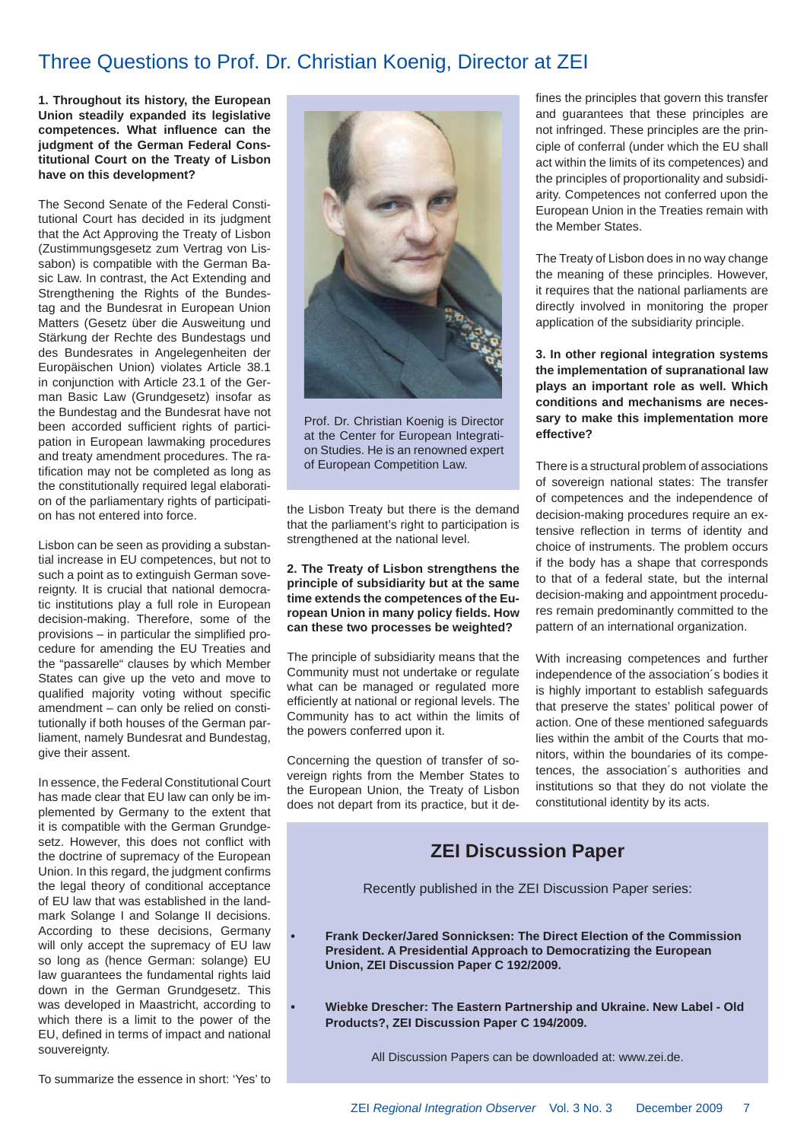## Three Questions to Prof. Dr. Christian Koenig, Director at ZEI

**1. Throughout its history, the European Union steadily expanded its legislative**  competences. What influence can the **judgment of the German Federal Constitutional Court on the Treaty of Lisbon have on this development?**

The Second Senate of the Federal Constitutional Court has decided in its judgment that the Act Approving the Treaty of Lisbon (Zustimmungsgesetz zum Vertrag von Lissabon) is compatible with the German Basic Law. In contrast, the Act Extending and Strengthening the Rights of the Bundestag and the Bundesrat in European Union Matters (Gesetz über die Ausweitung und Stärkung der Rechte des Bundestags und des Bundesrates in Angelegenheiten der Europäischen Union) violates Article 38.1 in conjunction with Article 23.1 of the German Basic Law (Grundgesetz) insofar as the Bundestag and the Bundesrat have not been accorded sufficient rights of participation in European lawmaking procedures and treaty amendment procedures. The ratification may not be completed as long as the constitutionally required legal elaboration of the parliamentary rights of participation has not entered into force.

Lisbon can be seen as providing a substantial increase in EU competences, but not to such a point as to extinguish German sovereignty. It is crucial that national democratic institutions play a full role in European decision-making. Therefore, some of the provisions  $-$  in particular the simplified procedure for amending the EU Treaties and the "passarelle" clauses by which Member States can give up the veto and move to qualified majority voting without specific amendment – can only be relied on constitutionally if both houses of the German parliament, namely Bundesrat and Bundestag, give their assent.

In essence, the Federal Constitutional Court has made clear that EU law can only be implemented by Germany to the extent that it is compatible with the German Grundgesetz. However, this does not conflict with the doctrine of supremacy of the European Union. In this regard, the judgment confirms the legal theory of conditional acceptance of EU law that was established in the landmark Solange I and Solange II decisions. According to these decisions, Germany will only accept the supremacy of EU law so long as (hence German: solange) EU law guarantees the fundamental rights laid down in the German Grundgesetz. This was developed in Maastricht, according to which there is a limit to the power of the EU, defined in terms of impact and national souvereignty.



Prof. Dr. Christian Koenig is Director at the Center for European Integration Studies. He is an renowned expert of European Competition Law.

the Lisbon Treaty but there is the demand that the parliament's right to participation is strengthened at the national level.

**2. The Treaty of Lisbon strengthens the principle of subsidiarity but at the same time extends the competences of the European Union in many policy fi elds. How can these two processes be weighted?**

The principle of subsidiarity means that the Community must not undertake or regulate what can be managed or regulated more efficiently at national or regional levels. The Community has to act within the limits of the powers conferred upon it.

Concerning the question of transfer of sovereign rights from the Member States to the European Union, the Treaty of Lisbon does not depart from its practice, but it defines the principles that govern this transfer and guarantees that these principles are not infringed. These principles are the principle of conferral (under which the EU shall act within the limits of its competences) and the principles of proportionality and subsidiarity. Competences not conferred upon the European Union in the Treaties remain with the Member States.

The Treaty of Lisbon does in no way change the meaning of these principles. However, it requires that the national parliaments are directly involved in monitoring the proper application of the subsidiarity principle.

**3. In other regional integration systems the implementation of supranational law plays an important role as well. Which conditions and mechanisms are necessary to make this implementation more effective?** 

There is a structural problem of associations of sovereign national states: The transfer of competences and the independence of decision-making procedures require an extensive reflection in terms of identity and choice of instruments. The problem occurs if the body has a shape that corresponds to that of a federal state, but the internal decision-making and appointment procedures remain predominantly committed to the pattern of an international organization.

With increasing competences and further independence of the association´s bodies it is highly important to establish safeguards that preserve the states' political power of action. One of these mentioned safeguards lies within the ambit of the Courts that monitors, within the boundaries of its competences, the association´s authorities and institutions so that they do not violate the constitutional identity by its acts.

#### **ZEI Discussion Paper**

Recently published in the ZEI Discussion Paper series:

**• Frank Decker/Jared Sonnicksen: The Direct Election of the Commission President. A Presidential Approach to Democratizing the European Union, ZEI Discussion Paper C 192/2009.**

**• Wiebke Drescher: The Eastern Partnership and Ukraine. New Label - Old Products?, ZEI Discussion Paper C 194/2009.**

All Discussion Papers can be downloaded at: www.zei.de.

To summarize the essence in short: 'Yes' to